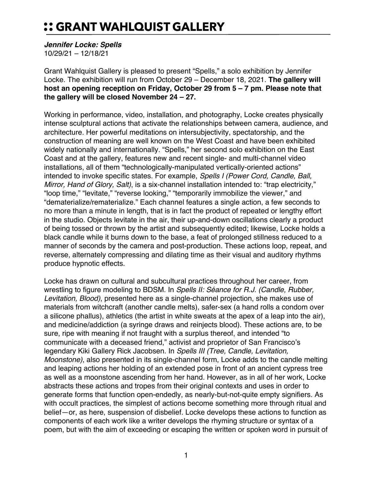## :: GRANT WAHLQUIST GALLERY

*Jennifer Locke: Spells*

10/29/21 – 12/18/21

Grant Wahlquist Gallery is pleased to present "Spells," a solo exhibition by Jennifer Locke. The exhibition will run from October 29 – December 18, 2021. **The gallery will host an opening reception on Friday, October 29 from 5 – 7 pm. Please note that the gallery will be closed November 24 – 27.**

Working in performance, video, installation, and photography, Locke creates physically intense sculptural actions that activate the relationships between camera, audience, and architecture. Her powerful meditations on intersubjectivity, spectatorship, and the construction of meaning are well known on the West Coast and have been exhibited widely nationally and internationally. "Spells," her second solo exhibition on the East Coast and at the gallery, features new and recent single- and multi-channel video installations, all of them "technologically-manipulated vertically-oriented actions" intended to invoke specific states. For example, *Spells I (Power Cord, Candle, Ball, Mirror, Hand of Glory, Salt)*, is a six-channel installation intended to: "trap electricity," "loop time," "levitate," "reverse looking," "temporarily immobilize the viewer," and "dematerialize/rematerialize." Each channel features a single action, a few seconds to no more than a minute in length, that is in fact the product of repeated or lengthy effort in the studio. Objects levitate in the air, their up-and-down oscillations clearly a product of being tossed or thrown by the artist and subsequently edited; likewise, Locke holds a black candle while it burns down to the base, a feat of prolonged stillness reduced to a manner of seconds by the camera and post-production. These actions loop, repeat, and reverse, alternately compressing and dilating time as their visual and auditory rhythms produce hypnotic effects.

Locke has drawn on cultural and subcultural practices throughout her career, from wrestling to figure modeling to BDSM. In *Spells II: Séance for R.J. (Candle, Rubber, Levitation, Blood)*, presented here as a single-channel projection, she makes use of materials from witchcraft (another candle melts), safer-sex (a hand rolls a condom over a silicone phallus), athletics (the artist in white sweats at the apex of a leap into the air), and medicine/addiction (a syringe draws and reinjects blood). These actions are, to be sure, ripe with meaning if not fraught with a surplus thereof, and intended "to communicate with a deceased friend," activist and proprietor of San Francisco's legendary Kiki Gallery Rick Jacobsen. In *Spells III (Tree, Candle, Levitation, Moonstone)*, also presented in its single-channel form, Locke adds to the candle melting and leaping actions her holding of an extended pose in front of an ancient cypress tree as well as a moonstone ascending from her hand. However, as in all of her work, Locke abstracts these actions and tropes from their original contexts and uses in order to generate forms that function open-endedly, as nearly-but-not-quite empty signifiers. As with occult practices, the simplest of actions become something more through ritual and belief—or, as here, suspension of disbelief. Locke develops these actions to function as components of each work like a writer develops the rhyming structure or syntax of a poem, but with the aim of exceeding or escaping the written or spoken word in pursuit of